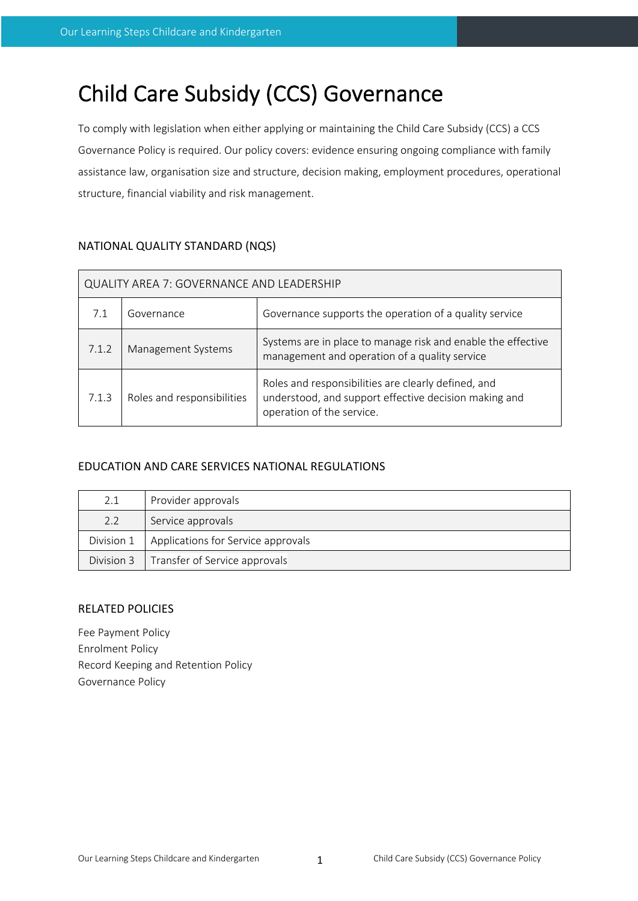# Child Care Subsidy (CCS) Governance

To comply with legislation when either applying or maintaining the Child Care Subsidy (CCS) a CCS Governance Policy is required. Our policy covers: evidence ensuring ongoing compliance with family assistance law, organisation size and structure, decision making, employment procedures, operational structure, financial viability and risk management.

## NATIONAL QUALITY STANDARD (NQS)

| QUALITY AREA 7: GOVERNANCE AND LEADERSHIP |                            |                                                                                                                                           |  |
|-------------------------------------------|----------------------------|-------------------------------------------------------------------------------------------------------------------------------------------|--|
| 7.1                                       | Governance                 | Governance supports the operation of a quality service                                                                                    |  |
| 7.1.2                                     | Management Systems         | Systems are in place to manage risk and enable the effective<br>management and operation of a quality service                             |  |
| 7.1.3                                     | Roles and responsibilities | Roles and responsibilities are clearly defined, and<br>understood, and support effective decision making and<br>operation of the service. |  |

## EDUCATION AND CARE SERVICES NATIONAL REGULATIONS

| 2.1        | Provider approvals                         |
|------------|--------------------------------------------|
| 2.2        | Service approvals                          |
| Division 1 | Applications for Service approvals         |
|            | Division 3   Transfer of Service approvals |

## RELATED POLICIES

Fee Payment Policy Enrolment Policy Record Keeping and Retention Policy Governance Policy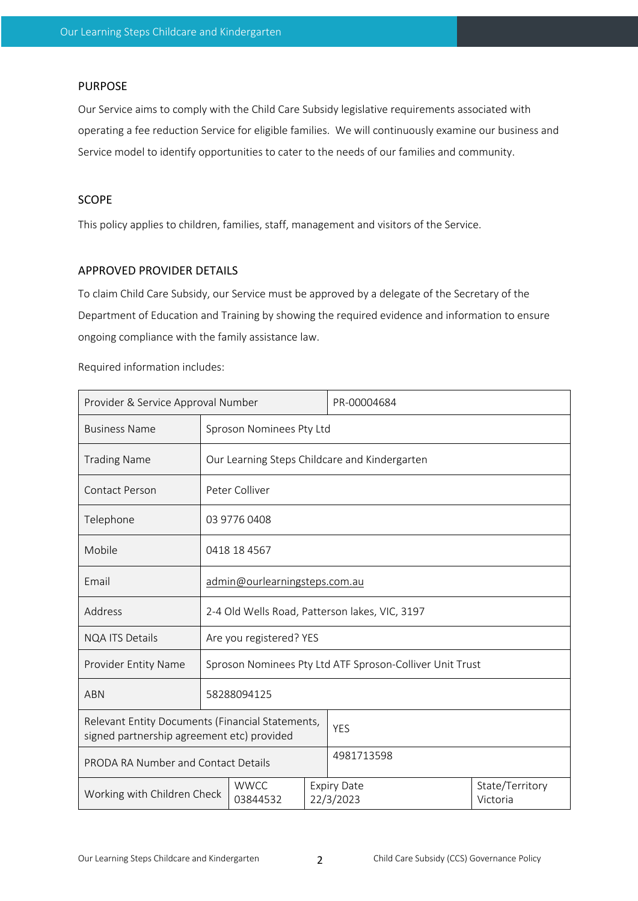#### PURPOSE

Our Service aims to comply with the Child Care Subsidy legislative requirements associated with operating a fee reduction Service for eligible families. We will continuously examine our business and Service model to identify opportunities to cater to the needs of our families and community.

## SCOPE

This policy applies to children, families, staff, management and visitors of the Service.

#### APPROVED PROVIDER DETAILS

To claim Child Care Subsidy, our Service must be approved by a delegate of the Secretary of the Department of Education and Training by showing the required evidence and information to ensure ongoing compliance with the family assistance law.

Required information includes:

| Provider & Service Approval Number                                                             |                                                          | PR-00004684                                   |                                 |                             |  |
|------------------------------------------------------------------------------------------------|----------------------------------------------------------|-----------------------------------------------|---------------------------------|-----------------------------|--|
| <b>Business Name</b>                                                                           | Sproson Nominees Pty Ltd                                 |                                               |                                 |                             |  |
| <b>Trading Name</b>                                                                            |                                                          | Our Learning Steps Childcare and Kindergarten |                                 |                             |  |
| Contact Person                                                                                 |                                                          | Peter Colliver                                |                                 |                             |  |
| Telephone                                                                                      | 03 9776 0408                                             |                                               |                                 |                             |  |
| Mobile                                                                                         | 0418 18 4567                                             |                                               |                                 |                             |  |
| Fmail                                                                                          | admin@ourlearningsteps.com.au                            |                                               |                                 |                             |  |
| Address                                                                                        | 2-4 Old Wells Road, Patterson lakes, VIC, 3197           |                                               |                                 |                             |  |
| <b>NQA ITS Details</b>                                                                         | Are you registered? YES                                  |                                               |                                 |                             |  |
| Provider Entity Name                                                                           | Sproson Nominees Pty Ltd ATF Sproson-Colliver Unit Trust |                                               |                                 |                             |  |
| <b>ABN</b>                                                                                     | 58288094125                                              |                                               |                                 |                             |  |
| Relevant Entity Documents (Financial Statements,<br>signed partnership agreement etc) provided |                                                          |                                               |                                 | <b>YES</b>                  |  |
| PRODA RA Number and Contact Details                                                            |                                                          |                                               |                                 | 4981713598                  |  |
| <b>WWCC</b><br>Working with Children Check<br>03844532                                         |                                                          |                                               | <b>Expiry Date</b><br>22/3/2023 | State/Territory<br>Victoria |  |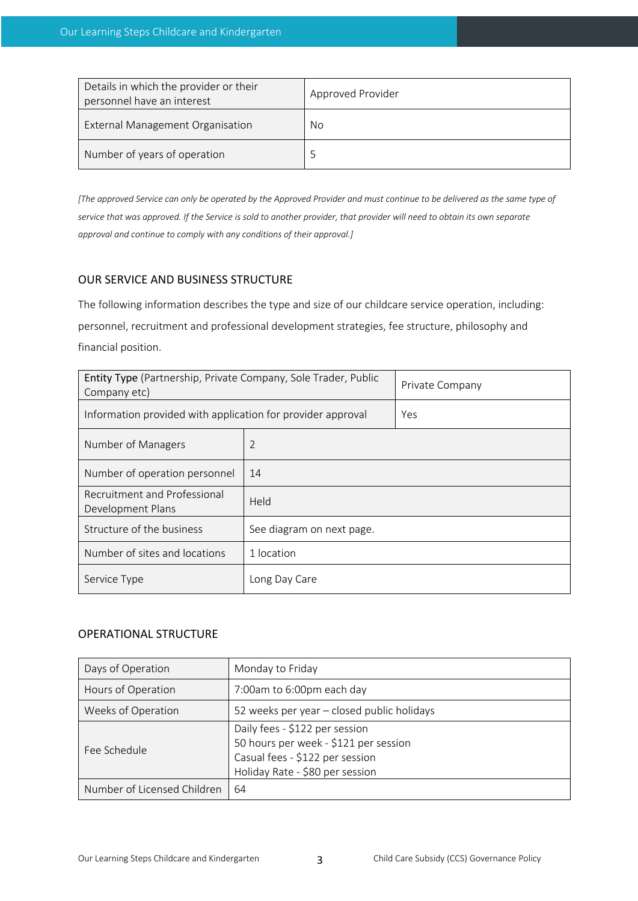| Details in which the provider or their<br>personnel have an interest | Approved Provider |
|----------------------------------------------------------------------|-------------------|
| External Management Organisation                                     | No                |
| Number of years of operation                                         |                   |

*[The approved Service can only be operated by the Approved Provider and must continue to be delivered as the same type of service that was approved. If the Service is sold to another provider, that provider will need to obtain its own separate approval and continue to comply with any conditions of their approval.]*

## OUR SERVICE AND BUSINESS STRUCTURE

The following information describes the type and size of our childcare service operation, including: personnel, recruitment and professional development strategies, fee structure, philosophy and financial position.

| Entity Type (Partnership, Private Company, Sole Trader, Public<br>Company etc) | Private Company           |  |  |
|--------------------------------------------------------------------------------|---------------------------|--|--|
| Information provided with application for provider approval                    | Yes                       |  |  |
| Number of Managers                                                             | 2                         |  |  |
| Number of operation personnel                                                  | 14                        |  |  |
| Recruitment and Professional<br>Development Plans                              | Held                      |  |  |
| Structure of the business                                                      | See diagram on next page. |  |  |
| Number of sites and locations                                                  | 1 location                |  |  |
| Service Type                                                                   | Long Day Care             |  |  |

### OPERATIONAL STRUCTURE

| Days of Operation           | Monday to Friday                                                                                                                              |
|-----------------------------|-----------------------------------------------------------------------------------------------------------------------------------------------|
| Hours of Operation          | 7:00am to 6:00pm each day                                                                                                                     |
| Weeks of Operation          | 52 weeks per year - closed public holidays                                                                                                    |
| Fee Schedule                | Daily fees - \$122 per session<br>50 hours per week - \$121 per session<br>Casual fees - \$122 per session<br>Holiday Rate - \$80 per session |
| Number of Licensed Children | 64                                                                                                                                            |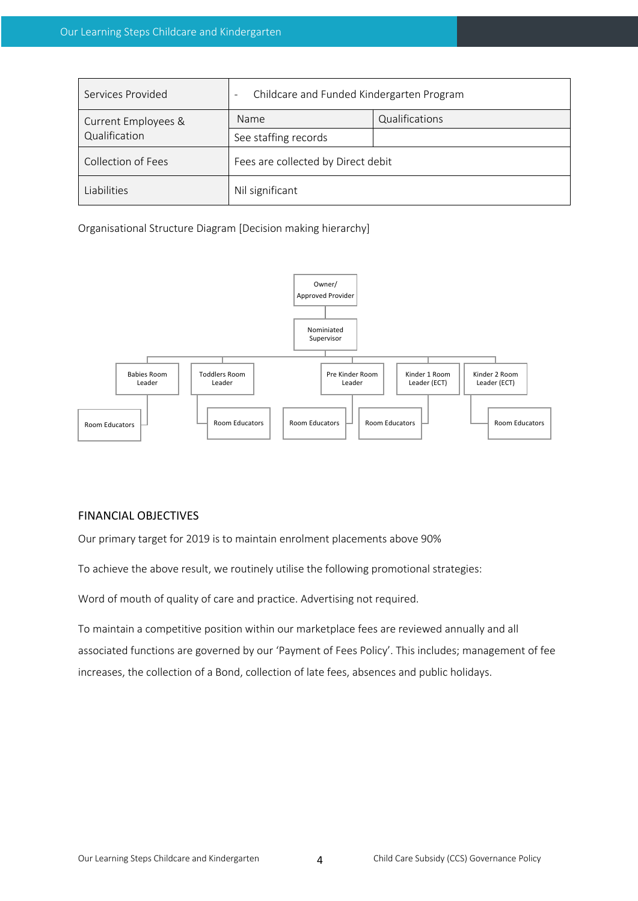| Services Provided   | Childcare and Funded Kindergarten Program |                |  |
|---------------------|-------------------------------------------|----------------|--|
| Current Employees & | <b>Name</b>                               | Qualifications |  |
| Qualification       | See staffing records                      |                |  |
| Collection of Fees  | Fees are collected by Direct debit        |                |  |
| Liabilities         | Nil significant                           |                |  |

Organisational Structure Diagram [Decision making hierarchy]



### FINANCIAL OBJECTIVES

Our primary target for 2019 is to maintain enrolment placements above 90%

To achieve the above result, we routinely utilise the following promotional strategies:

Word of mouth of quality of care and practice. Advertising not required.

To maintain a competitive position within our marketplace fees are reviewed annually and all associated functions are governed by our 'Payment of Fees Policy'. This includes; management of fee increases, the collection of a Bond, collection of late fees, absences and public holidays.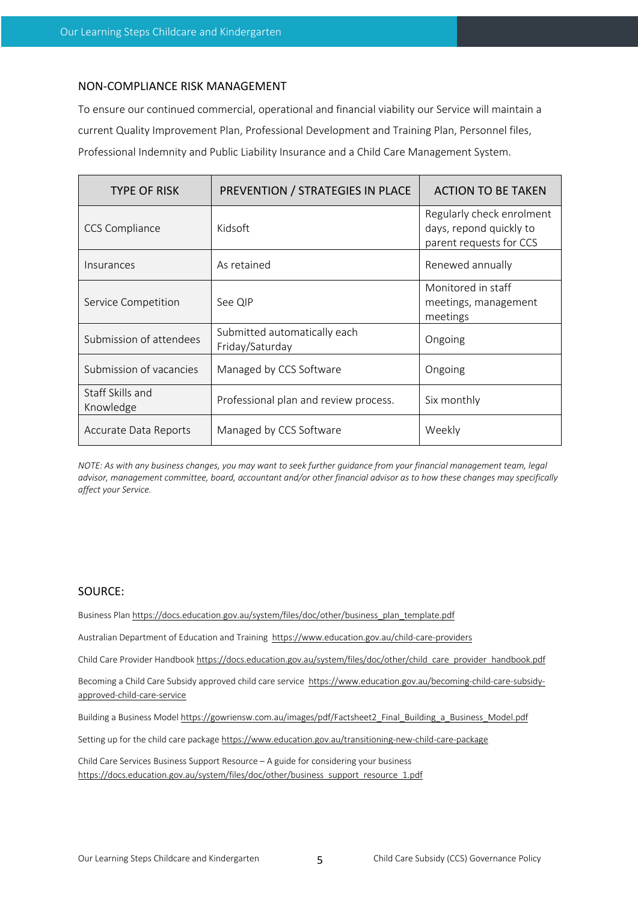#### NON-COMPLIANCE RISK MANAGEMENT

To ensure our continued commercial, operational and financial viability our Service will maintain a current Quality Improvement Plan, Professional Development and Training Plan, Personnel files, Professional Indemnity and Public Liability Insurance and a Child Care Management System.

| <b>TYPE OF RISK</b>           | PREVENTION / STRATEGIES IN PLACE                | <b>ACTION TO BE TAKEN</b>                                                       |
|-------------------------------|-------------------------------------------------|---------------------------------------------------------------------------------|
| <b>CCS Compliance</b>         | Kidsoft                                         | Regularly check enrolment<br>days, repond quickly to<br>parent requests for CCS |
| Insurances                    | As retained                                     | Renewed annually                                                                |
| Service Competition           | See QIP                                         | Monitored in staff<br>meetings, management<br>meetings                          |
| Submission of attendees       | Submitted automatically each<br>Friday/Saturday | Ongoing                                                                         |
| Submission of vacancies       | Managed by CCS Software                         | Ongoing                                                                         |
| Staff Skills and<br>Knowledge | Professional plan and review process.           | Six monthly                                                                     |
| Accurate Data Reports         | Managed by CCS Software                         | Weekly                                                                          |

*NOTE: As with any business changes, you may want to seek further guidance from your financial management team, legal advisor, management committee, board, accountant and/or other financial advisor as to how these changes may specifically affect your Service.*

#### SOURCE:

Business Plan https://docs.education.gov.au/system/files/doc/other/business\_plan\_template.pdf

Australian Department of Education and Training https://www.education.gov.au/child-care-providers

Child Care Provider Handbook https://docs.education.gov.au/system/files/doc/other/child\_care\_provider\_handbook.pdf

Becoming a Child Care Subsidy approved child care service https://www.education.gov.au/becoming-child-care-subsidyapproved-child-care-service

Building a Business Model https://gowriensw.com.au/images/pdf/Factsheet2\_Final\_Building\_a\_Business\_Model.pdf

Setting up for the child care package https://www.education.gov.au/transitioning-new-child-care-package

Child Care Services Business Support Resource – A guide for considering your business https://docs.education.gov.au/system/files/doc/other/business\_support\_resource\_1.pdf